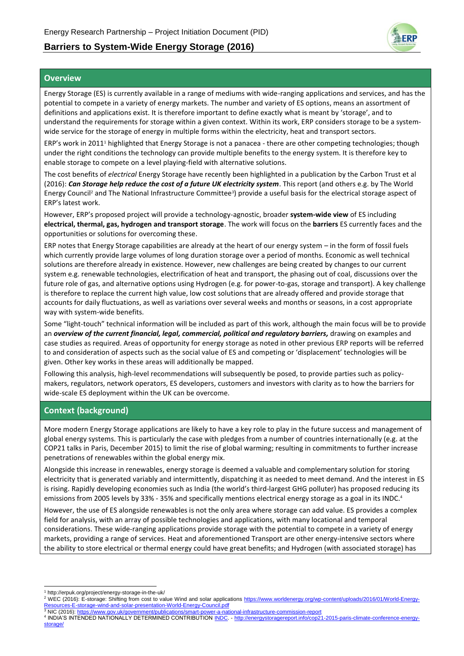# **Barriers to System-Wide Energy Storage (2016)**



### **Overview**

Energy Storage (ES) is currently available in a range of mediums with wide-ranging applications and services, and has the potential to compete in a variety of energy markets. The number and variety of ES options, means an assortment of definitions and applications exist. It is therefore important to define exactly what is meant by 'storage', and to understand the requirements for storage within a given context. Within its work, ERP considers storage to be a systemwide service for the storage of energy in multiple forms within the electricity, heat and transport sectors.

ERP's work in 2011<sup>1</sup> highlighted that Energy Storage is not a panacea - there are other competing technologies; though under the right conditions the technology can provide multiple benefits to the energy system. It is therefore key to enable storage to compete on a level playing-field with alternative solutions.

The cost benefits of *electrical* Energy Storage have recently been highlighted in a publication by the Carbon Trust et al (2016): *Can Storage help reduce the cost of a future UK electricity system*. This report (and others e.g. by The World Energy Council<sup>2</sup> and The National Infrastructure Committee<sup>3</sup>) provide a useful basis for the electrical storage aspect of ERP's latest work.

However, ERP's proposed project will provide a technology-agnostic, broader **system-wide view** of ES including **electrical, thermal, gas, hydrogen and transport storage**. The work will focus on the **barriers** ES currently faces and the opportunities or solutions for overcoming these.

ERP notes that Energy Storage capabilities are already at the heart of our energy system – in the form of fossil fuels which currently provide large volumes of long duration storage over a period of months. Economic as well technical solutions are therefore already in existence. However, new challenges are being created by changes to our current system e.g. renewable technologies, electrification of heat and transport, the phasing out of coal, discussions over the future role of gas, and alternative options using Hydrogen (e.g. for power-to-gas, storage and transport). A key challenge is therefore to replace the current high value, low cost solutions that are already offered and provide storage that accounts for daily fluctuations, as well as variations over several weeks and months or seasons, in a cost appropriate way with system-wide benefits.

Some "light-touch" technical information will be included as part of this work, although the main focus will be to provide an *overview of the current financial, legal, commercial, political and regulatory barriers,* drawing on examples and case studies as required. Areas of opportunity for energy storage as noted in other previous ERP reports will be referred to and consideration of aspects such as the social value of ES and competing or 'displacement' technologies will be given. Other key works in these areas will additionally be mapped.

Following this analysis, high-level recommendations will subsequently be posed, to provide parties such as policymakers, regulators, network operators, ES developers, customers and investors with clarity as to how the barriers for wide-scale ES deployment within the UK can be overcome.

## **Context (background)**

More modern Energy Storage applications are likely to have a key role to play in the future success and management of global energy systems. This is particularly the case with pledges from a number of countries internationally (e.g. at the COP21 talks in Paris, December 2015) to limit the rise of global warming; resulting in commitments to further increase penetrations of renewables within the global energy mix.

Alongside this increase in renewables, energy storage is deemed a valuable and complementary solution for storing electricity that is generated variably and intermittently, dispatching it as needed to meet demand. And the interest in ES is rising. Rapidly developing economies such as India (the world's third-largest GHG polluter) has proposed reducing its emissions from 2005 levels by 33% - 35% and specifically mentions electrical energy storage as a goal in its INDC.<sup>4</sup>

However, the use of ES alongside renewables is not the only area where storage can add value. ES provides a complex field for analysis, with an array of possible technologies and applications, with many locational and temporal considerations. These wide-ranging applications provide storage with the potential to compete in a variety of energy markets, providing a range of services. Heat and aforementioned Transport are other energy-intensive sectors where the ability to store electrical or thermal energy could have great benefits; and Hydrogen (with associated storage) has

<sup>-</sup><sup>1</sup> http://erpuk.org/project/energy-storage-in-the-uk/

<sup>&</sup>lt;sup>2</sup> WEC (2016): E-storage: Shifting from cost to value Wind and solar applications [https://www.worldenergy.org/wp-content/uploads/2016/01/World-Energy-](https://www.worldenergy.org/wp-content/uploads/2016/01/World-Energy-Resources-E-storage-wind-and-solar-presentation-World-Energy-Council.pdf)[Resources-E-storage-wind-and-solar-presentation-World-Energy-Council.pdf](https://www.worldenergy.org/wp-content/uploads/2016/01/World-Energy-Resources-E-storage-wind-and-solar-presentation-World-Energy-Council.pdf)

<sup>3</sup> NIC (2016)[: https://www.gov.uk/government/publications/smart-power-a-national-infrastructure-commission-report](https://www.gov.uk/government/publications/smart-power-a-national-infrastructure-commission-report) 4 INDIA'S INTENDED NATIONALLY DETERMINED CONTRIBUTION [INDC.](http://www4.unfccc.int/submissions/INDC/Published%20Documents/India/1/INDIA%20INDC%20TO%20UNFCCC.pdf) - [http://energystoragereport.info/cop21-2015-paris-climate-conference-energy](http://energystoragereport.info/cop21-2015-paris-climate-conference-energy-storage/)[storage/](http://energystoragereport.info/cop21-2015-paris-climate-conference-energy-storage/)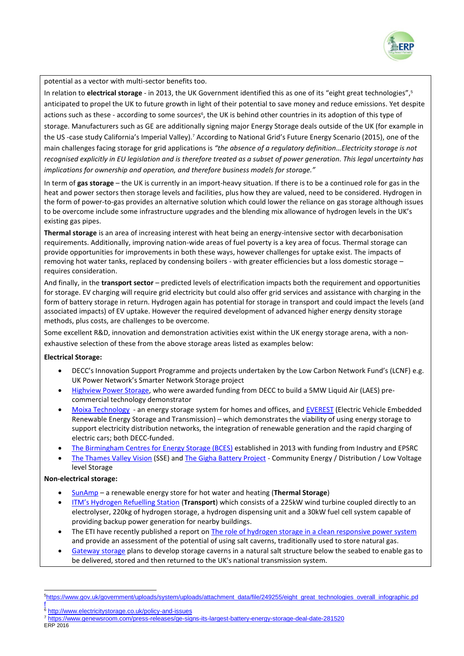

potential as a vector with multi-sector benefits too.

In relation to **electrical storage** - in 2013, the UK Government identified this as one of its "eight great technologies", 5 anticipated to propel the UK to future growth in light of their potential to save money and reduce emissions. Yet despite actions such as these - according to some sources<sup>6</sup>, the UK is behind other countries in its adoption of this type of storage. Manufacturers such as GE are additionally signing major Energy Storage deals outside of the UK (for example in the US -case study California's Imperial Valley).<sup>7</sup> According to National Grid's Future Energy Scenario (2015), one of the main challenges facing storage for grid applications is *"the absence of a regulatory definition…Electricity storage is not recognised explicitly in EU legislation and is therefore treated as a subset of power generation. This legal uncertainty has implications for ownership and operation, and therefore business models for storage."*

In term of **gas storage** – the UK is currently in an import-heavy situation. If there is to be a continued role for gas in the heat and power sectors then storage levels and facilities, plus how they are valued, need to be considered. Hydrogen in the form of power-to-gas provides an alternative solution which could lower the reliance on gas storage although issues to be overcome include some infrastructure upgrades and the blending mix allowance of hydrogen levels in the UK's existing gas pipes.

**Thermal storage** is an area of increasing interest with heat being an energy-intensive sector with decarbonisation requirements. Additionally, improving nation-wide areas of fuel poverty is a key area of focus. Thermal storage can provide opportunities for improvements in both these ways, however challenges for uptake exist. The impacts of removing hot water tanks, replaced by condensing boilers - with greater efficiencies but a loss domestic storage – requires consideration.

And finally, in the **transport sector** – predicted levels of electrification impacts both the requirement and opportunities for storage. EV charging will require grid electricity but could also offer grid services and assistance with charging in the form of battery storage in return. Hydrogen again has potential for storage in transport and could impact the levels (and associated impacts) of EV uptake. However the required development of advanced higher energy density storage methods, plus costs, are challenges to be overcome.

Some excellent R&D, innovation and demonstration activities exist within the UK energy storage arena, with a nonexhaustive selection of these from the above storage areas listed as examples below:

### **Electrical Storage:**

- DECC's Innovation Support Programme and projects undertaken by the Low Carbon Network Fund's (LCNF) e.g. UK Power Network's Smarter Network Storage project
- [Highview Power Storage,](http://www.highview-power.com/) who were awarded funding from DECC to build a 5MW Liquid Air (LAES) precommercial technology demonstrator
- [Moixa Technology](http://www.moixatechnology.com/)  an energy storage system for homes and offices, and [EVEREST](http://www.c-e-int.com/pages/everest_237745.cfm) (Electric Vehicle Embedded Renewable Energy Storage and Transmission) – which demonstrates the viability of using energy storage to support electricity distribution networks, the integration of renewable generation and the rapid charging of electric cars; both DECC-funded.
- [The Birmingham Centres for Energy Storage \(BCES\)](http://www.birmingham.ac.uk/research/activity/energy/research/centre-energy-storage/index.aspx) established in 2013 with funding from Industry and EPSRC
- [The Thames Valley Vision](http://www.all-energy.co.uk/__novadocuments/86693?v=635673060141670000) (SSE) an[d The Gigha Battery Project](http://www.communityenergyscotland.org.uk/gigha-battery-overview.asp) Community Energy / Distribution / Low Voltage level Storage

#### **Non-electrical storage:**

- [SunAmp](http://sunamp.co.uk/) a renewable energy store for hot water and heating (**Thermal Storage**)
- [ITM's Hydrogen Refuelling Station](http://www.autoblog.com/2015/09/23/itm-launches-wind-hydrogen-station-in-uk/) (**Transport**) which consists of a 225kW wind turbine coupled directly to an electrolyser, 220kg of hydrogen storage, a hydrogen dispensing unit and a 30kW fuel cell system capable of providing backup power generation for nearby buildings.
- The ETI have recently published a report on [The role of hydrogen storage in a clean responsive power system](http://www.eti.co.uk/wp-content/uploads/2015/05/3380-ETI-Hydrogen-Insights-paper.pdf) and provide an assessment of the potential of using salt caverns, traditionally used to store natural gas.
- [Gateway storage](http://www.gatewaystorage.co.uk/) plans to develop storage caverns in a natural salt structure below the seabed to enable gas to be delivered, stored and then returned to the UK's national transmission system.

-

<sup>5</sup>[https://www.gov.uk/government/uploads/system/uploads/attachment\\_data/file/249255/eight\\_great\\_technologies\\_overall\\_infographic.pd](https://www.gov.uk/government/uploads/system/uploads/attachment_data/file/249255/eight_great_technologies_overall_infographic.pdf) [f](https://www.gov.uk/government/uploads/system/uploads/attachment_data/file/249255/eight_great_technologies_overall_infographic.pdf)

<http://www.electricitystorage.co.uk/policy-and-issues>

<sup>7</sup> <https://www.genewsroom.com/press-releases/ge-signs-its-largest-battery-energy-storage-deal-date-281520>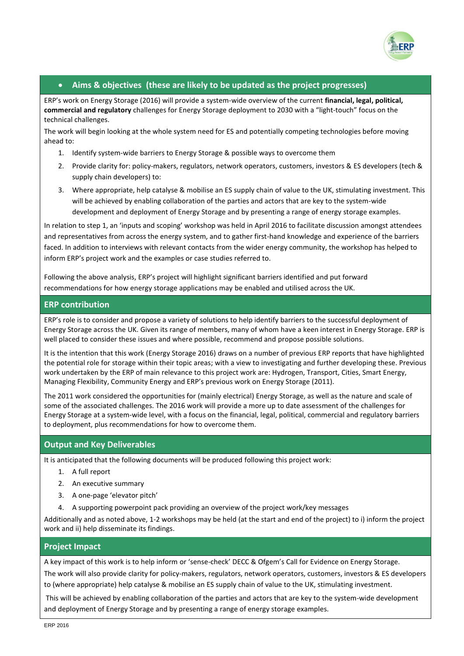

## **Aims & objectives (these are likely to be updated as the project progresses)**

ERP's work on Energy Storage (2016) will provide a system-wide overview of the current **financial, legal, political, commercial and regulatory** challenges for Energy Storage deployment to 2030 with a "light-touch" focus on the technical challenges.

The work will begin looking at the whole system need for ES and potentially competing technologies before moving ahead to:

- 1. Identify system-wide barriers to Energy Storage & possible ways to overcome them
- 2. Provide clarity for: policy-makers, regulators, network operators, customers, investors & ES developers (tech & supply chain developers) to:
- 3. Where appropriate, help catalyse & mobilise an ES supply chain of value to the UK, stimulating investment. This will be achieved by enabling collaboration of the parties and actors that are key to the system-wide development and deployment of Energy Storage and by presenting a range of energy storage examples.

In relation to step 1, an 'inputs and scoping' workshop was held in April 2016 to facilitate discussion amongst attendees and representatives from across the energy system, and to gather first-hand knowledge and experience of the barriers faced. In addition to interviews with relevant contacts from the wider energy community, the workshop has helped to inform ERP's project work and the examples or case studies referred to.

Following the above analysis, ERP's project will highlight significant barriers identified and put forward recommendations for how energy storage applications may be enabled and utilised across the UK.

### **ERP contribution**

ERP's role is to consider and propose a variety of solutions to help identify barriers to the successful deployment of Energy Storage across the UK. Given its range of members, many of whom have a keen interest in Energy Storage. ERP is well placed to consider these issues and where possible, recommend and propose possible solutions.

It is the intention that this work (Energy Storage 2016) draws on a number of previous ERP reports that have highlighted the potential role for storage within their topic areas; with a view to investigating and further developing these. Previous work undertaken by the ERP of main relevance to this project work are: Hydrogen, Transport, Cities, Smart Energy, Managing Flexibility, Community Energy and ERP's previous work on Energy Storage (2011).

The 2011 work considered the opportunities for (mainly electrical) Energy Storage, as well as the nature and scale of some of the associated challenges. The 2016 work will provide a more up to date assessment of the challenges for Energy Storage at a system-wide level, with a focus on the financial, legal, political, commercial and regulatory barriers to deployment, plus recommendations for how to overcome them.

## **Output and Key Deliverables**

It is anticipated that the following documents will be produced following this project work:

- 1. A full report
- 2. An executive summary
- 3. A one-page 'elevator pitch'
- 4. A supporting powerpoint pack providing an overview of the project work/key messages

Additionally and as noted above, 1-2 workshops may be held (at the start and end of the project) to i) inform the project work and ii) help disseminate its findings.

### **Project Impact**

A key impact of this work is to help inform or 'sense-check' DECC & Ofgem's Call for Evidence on Energy Storage. The work will also provide clarity for policy-makers, regulators, network operators, customers, investors & ES developers to (where appropriate) help catalyse & mobilise an ES supply chain of value to the UK, stimulating investment.

This will be achieved by enabling collaboration of the parties and actors that are key to the system-wide development and deployment of Energy Storage and by presenting a range of energy storage examples.